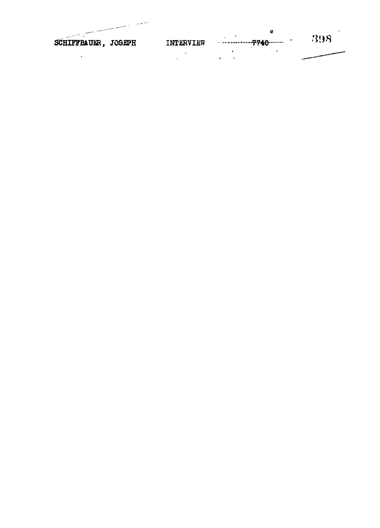|                     |           | u             |     |
|---------------------|-----------|---------------|-----|
| SCHIFFBAUER, JOSEPH | INTERVIEW | $\sim$ $\sim$ | 398 |
|                     |           |               |     |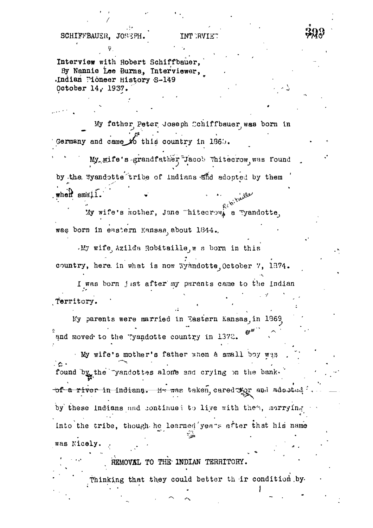## SCHIFFBAUER, JOSEPH.

## INT :RVIET

Interview with Robert Schiffbauer, By Nannie Lee Burns, Interviewer, Indian Pioneer History S-149 October 14, 1937.

My father Peter Joseph Cchiffbauer was born in Germany and came to this country in 1965.

My wife's grandfather Jacob Thitecrow was found by the Wyandotte tribe of Indians and adopted by them **Paidle**  $m$ en  $\sin 11$ .

My wife's mother, Jane "hitecrow, a "yandotte, was born in eastern Kansas about 1344.

-My wife Azilda Robitaille, w s born in this country, here in what is now Wyandotte, October 7, 1374.

I was born just after my parents came to the Indian Territory.

My parents were married in Rastern Kansas, in 1869 and moved to the Tyandotte country in 1372.

. My wife's mother's father when a small boy was  $\Delta$  . found by the "yandottes alone and crying on the bank. of a river in Indiana. He was taken cared yor and adsotted by these indians and continue; to live with them, marrying into the tribe, though he learned years after that his name was Nicely.

REMOVAL TO THE INDIAN TERRITORY.

Thinking that they could better their condition by.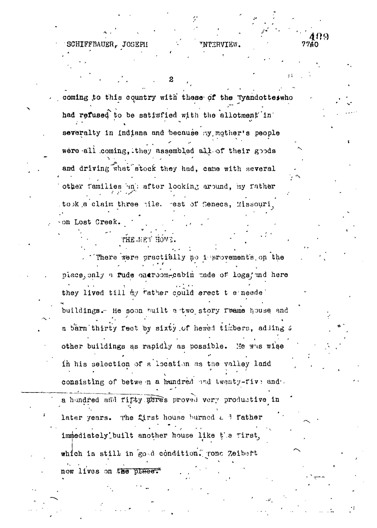TNTERVIEW.

7740

coming to this country with these of the Vyandotteswho had refused to be satisfied with the allotment in severalty in Indiana and because my mother's people were all coming, they assembled all of their goods and driving what stock they had, came with several other families and after looking around, my father took a claim three tile. est of Seneca, Missouri.

## THE JUST HOWE.

SCHIFFBAUER, JOSEPH

on Lost Creek.

There were practially no improvement's on the place, only a fude onercom-cabin rade of logs, and here they lived till my father could erect t e neede buildings. He soon puilt a two story reame house and a barn thirty feet by sixty of hewed timbers, adding a other buildings as rapidly as possible. He was wise in his selection of a location as the valley land consisting of between a hundred and twenty-five and.

a hundred and fifty atres proved very productive in later years. The first house burned  $\epsilon$  d father immediately built another house like the tirst, which is still in good condition. Tone Zeibert now lives on the place.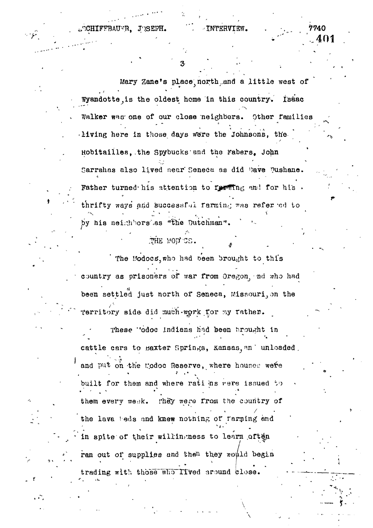ACHIFFBAUTR, JOSEFH.

Mary Zane's place north and a little west of Wyandotte is the oldest home in this country. Isaac Walker was one of our close neighbors. Other families living here in those days were the Johnsons, the Robitailles, the Spybucks and the Fabers. John Sarrahas also lived near Seneca as did Dave Pushane. Father turned his attention to Ipening and for his. thrifty ways and successful farming was refer ed to by his neighbors as "the Dutchman".

The Modocs, who had been brought to this country as prisoners of war from Oregon, nd who had been settled just north of Seneca, Missouri, on the Territory side did much work for my rather.

THE MOD CS.

These "odoc indians had been brought in cattle cars to Baxter Springs, Kansas, and unloaded and put on the modoc Reserve, where houses were built for them and where rations were issued to them every week. They were from the country of the lave beds and knew nothing of farming and in spite of their willingness to learn often ran out of supplies and then they would begin trading with those who lived around close.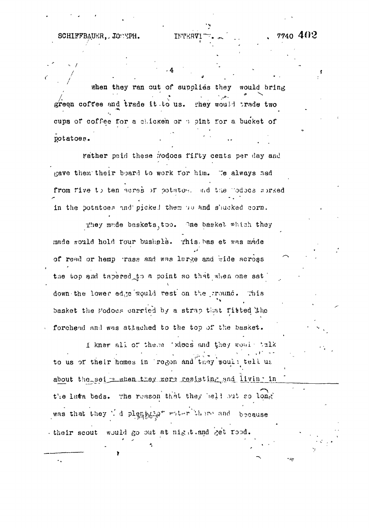SCHIFFBAUER. JOSEPH.

7740 402

when they ran out of supplies they would bring green coffee and trade it to us. They would trade two cups of coffee for a chicken or a pint for a bucket of potatoes.

**TNTERV1** 

rather paid these hodoes fifty cents per day and gave them their board to work for him. Te always had from five to ten scres of potatos, and the "odocs sorked in the potatoes and picked them no and shucked corn.

They made baskets, too. One basket which they made sould hold four bushele. This bas et was made of read or hemp rass and was large and wide across the top and tapered to a point so that when one sat down the lower edge would rest on the rround. This basket the Fodocs carried by a strap that fitted the forehead and was attached to the top of the basket.

I knew all of these judges and they would talk to us of their homes in regon and they would tell us about the seime when they were resisting and livin . in the lawa beds. The reason that they hell out so long was that they ' d plenty and the and because their scout would go out at night.and get rood.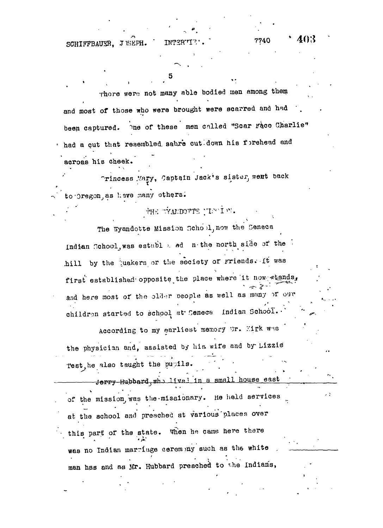SCHIFFBAUER, JEEPH.

There were not many able bodied men among them and most of those who were brought were scarred and had been captured. The of these men called "Scar race Charlie" had a cut that resembled sabre cut down his forehead and acroas his cheek.

**INTER'I** 

Trincess Mary, Captain Jack's sister, went back to pregon, as have many others.

THE TYMPOTTE TENING

The Wyandotte Mission Schopl, now the Seneca Indian School, was establed ad nother north side of the hill by the juakers or the society of rriends. It was first established opposite the place where it now atends, and here most of the older people as well as many of our children started to school at Ceneca Indian School.

According to my earliest memory Dr. Mirk was the physician and, assisted by his wife and by Lizzie Test, he also taught the pupils.

Jerry Hubbard, who lived in a small house east of the mission, was the missionary. He held services at the school and preached at various places over this part of the state. When he came here there was no Indian marriage cerem my such as the white man has and as Mr. Hubbard preached to the Indians,

403 7740

48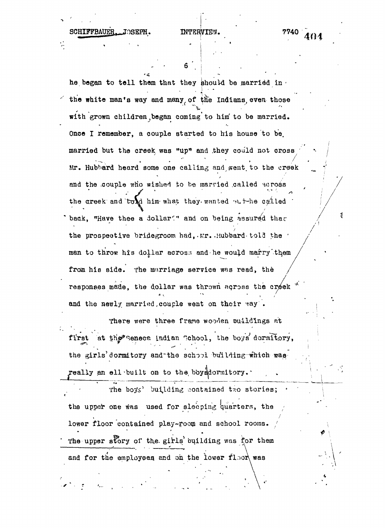## **rossPH.** 7740

Р

he began to tell them that they should be married in  $\cdot$ the white man's way and many of the Indians even those with grown children began coming to him' to be married. Once I remember, a couple started to his house to be, married but the creek was "up" and they could not cross Mr. Hubbard heard some one calling and went to the creek and the couple who wished to be married called across the creek and took him what they wanted  $w_t$ -he called back, "Have thee a dollar!" and on being assured that the prospective bridegroom had, Mr. .Hubbard told the ' man to throw his dollar across and he would marry them from his side. The marriage service was read, the responses made, the dollar was thrown across the creek  $*$ and the newly married, couple went on their vay.

There were three frame wooden puildings at first at the Seneca Indian School, the boys dormitory, the girls'dormitory and the school building which wasreally an ell-built on to the boyddormitory. $\cdot$ 

The boys' building contained two stories; the upper one was used for sleeping quarters, the lower floor contained play-room and school rooms. The upper story of the girls' building was for them and for the employees and on the lower fl.or was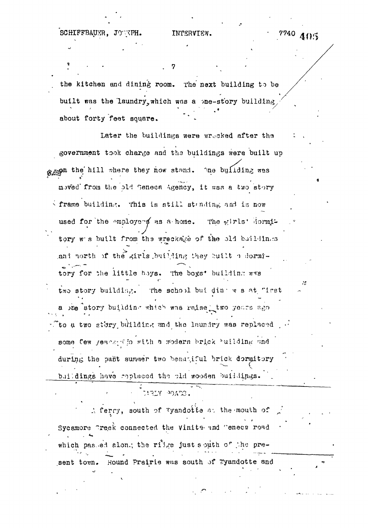the kitchen and dining room. The next building to be built was the laundry, which was a pne-story building, about forty feet square.

Later the buildings were wrecked after the government took charge and the buildings were built up graph the hill where they now stand. The building was moved from the old Seneca Agency, it was a two story iframe building. This is still stunding and is now used for the employers as a home. The girls' dormitory w s built from the wreckage of the old buildings and north of the girls building they built a dormitory for the little boys. The boys' building was two story building. The school but din we at "irst a bre story building which was raise two years ago "to a two story building and the laundry was replaced  $\mathcal{L}^{(1)}$ some few jeacheto with a modern brick building and during the past summer two beautiful brick dormitory buildings have replaced the old wooden buildings.

A ferry, south of Wandotte at the mouth of Sycamore Treek connected the Vinita and Teneca road which passed along the ridge just south of the present town. Hound Prairie was south of Wyandotte and

TIRLY POATS.